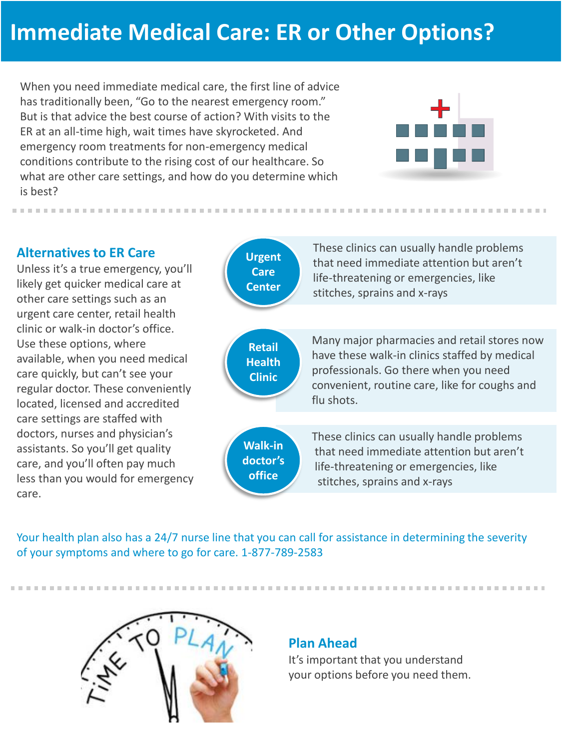## **Immediate Medical Care: ER or Other Options?**

When you need immediate medical care, the first line of advice has traditionally been, "Go to the nearest emergency room." But is that advice the best course of action? With visits to the ER at an all-time high, wait times have skyrocketed. And emergency room treatments for non-emergency medical conditions contribute to the rising cost of our healthcare. So what are other care settings, and how do you determine which is best?



## **Alternatives to ER Care**

Unless it's a true emergency, you'll likely get quicker medical care at other care settings such as an urgent care center, retail health clinic or walk-in doctor's office. Use these options, where available, when you need medical care quickly, but can't see your regular doctor. These conveniently located, licensed and accredited care settings are staffed with doctors, nurses and physician's assistants. So you'll get quality care, and you'll often pay much less than you would for emergency care.



Your health plan also has a 24/7 nurse line that you can call for assistance in determining the severity of your symptoms and where to go for care. 1-877-789-2583



**Plan Ahead**

It's important that you understand your options before you need them.